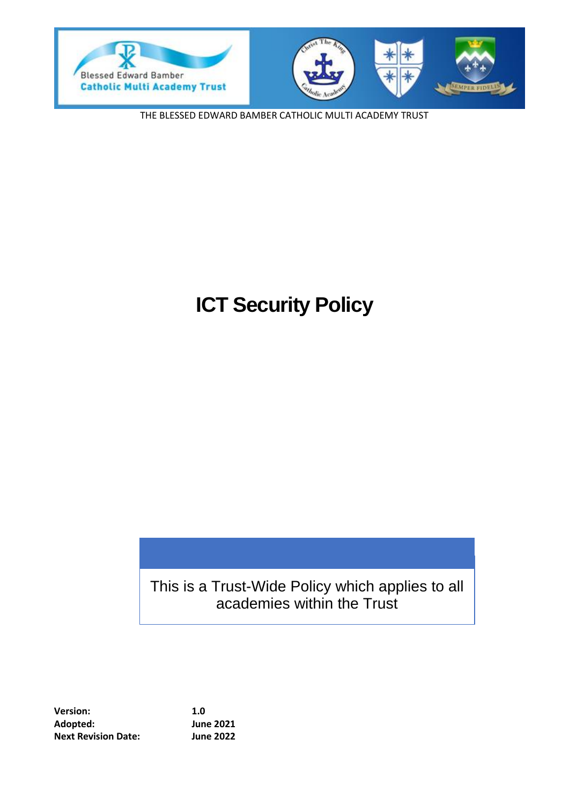



THE BLESSED EDWARD BAMBER CATHOLIC MULTI ACADEMY TRUST

# **ICT Security Policy**

This is a Trust-Wide Policy which applies to all academies within the Trust

**Version: 1.0 Adopted: June 2021 Next Revision Date: June 2022**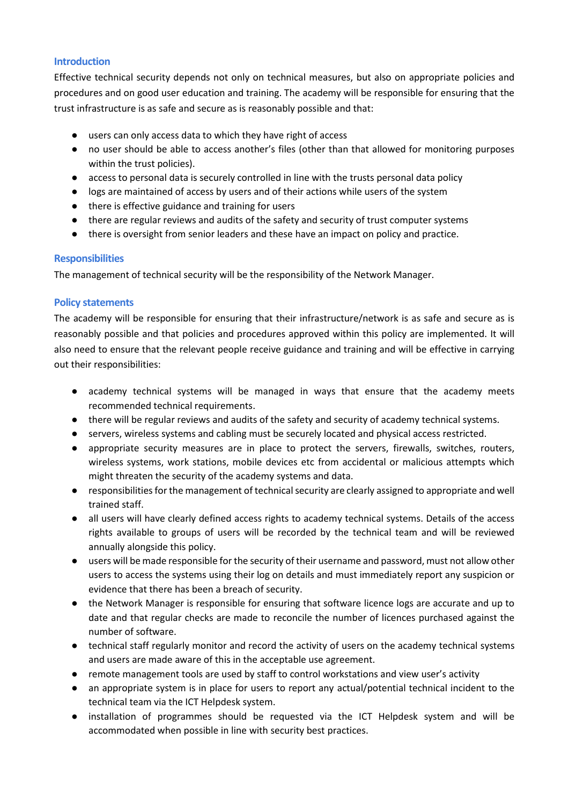#### **Introduction**

Effective technical security depends not only on technical measures, but also on appropriate policies and procedures and on good user education and training. The academy will be responsible for ensuring that the trust infrastructure is as safe and secure as is reasonably possible and that:

- users can only access data to which they have right of access
- no user should be able to access another's files (other than that allowed for monitoring purposes within the trust policies).
- access to personal data is securely controlled in line with the trusts personal data policy
- logs are maintained of access by users and of their actions while users of the system
- there is effective guidance and training for users
- there are regular reviews and audits of the safety and security of trust computer systems
- there is oversight from senior leaders and these have an impact on policy and practice.

#### **Responsibilities**

The management of technical security will be the responsibility of the Network Manager.

#### **Policy statements**

The academy will be responsible for ensuring that their infrastructure/network is as safe and secure as is reasonably possible and that policies and procedures approved within this policy are implemented. It will also need to ensure that the relevant people receive guidance and training and will be effective in carrying out their responsibilities:

- academy technical systems will be managed in ways that ensure that the academy meets recommended technical requirements.
- there will be regular reviews and audits of the safety and security of academy technical systems.
- servers, wireless systems and cabling must be securely located and physical access restricted.
- appropriate security measures are in place to protect the servers, firewalls, switches, routers, wireless systems, work stations, mobile devices etc from accidental or malicious attempts which might threaten the security of the academy systems and data.
- responsibilities for the management of technical security are clearly assigned to appropriate and well trained staff.
- all users will have clearly defined access rights to academy technical systems. Details of the access rights available to groups of users will be recorded by the technical team and will be reviewed annually alongside this policy.
- users will be made responsible for the security of their username and password, must not allow other users to access the systems using their log on details and must immediately report any suspicion or evidence that there has been a breach of security.
- the Network Manager is responsible for ensuring that software licence logs are accurate and up to date and that regular checks are made to reconcile the number of licences purchased against the number of software.
- technical staff regularly monitor and record the activity of users on the academy technical systems and users are made aware of this in the acceptable use agreement.
- remote management tools are used by staff to control workstations and view user's activity
- an appropriate system is in place for users to report any actual/potential technical incident to the technical team via the ICT Helpdesk system.
- installation of programmes should be requested via the ICT Helpdesk system and will be accommodated when possible in line with security best practices.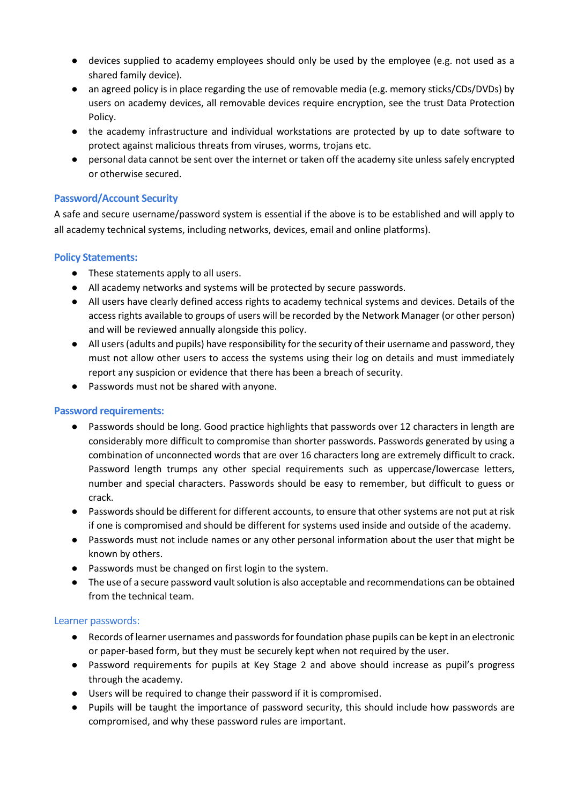- devices supplied to academy employees should only be used by the employee (e.g. not used as a shared family device).
- an agreed policy is in place regarding the use of removable media (e.g. memory sticks/CDs/DVDs) by users on academy devices, all removable devices require encryption, see the trust Data Protection Policy.
- the academy infrastructure and individual workstations are protected by up to date software to protect against malicious threats from viruses, worms, trojans etc.
- personal data cannot be sent over the internet or taken off the academy site unless safely encrypted or otherwise secured.

# **Password/Account Security**

A safe and secure username/password system is essential if the above is to be established and will apply to all academy technical systems, including networks, devices, email and online platforms).

# **Policy Statements:**

- These statements apply to all users.
- All academy networks and systems will be protected by secure passwords.
- All users have clearly defined access rights to academy technical systems and devices. Details of the access rights available to groups of users will be recorded by the Network Manager (or other person) and will be reviewed annually alongside this policy.
- All users (adults and pupils) have responsibility for the security of their username and password, they must not allow other users to access the systems using their log on details and must immediately report any suspicion or evidence that there has been a breach of security.
- Passwords must not be shared with anyone.

# **Password requirements:**

- Passwords should be long. Good practice highlights that passwords over 12 characters in length are considerably more difficult to compromise than shorter passwords. Passwords generated by using a combination of unconnected words that are over 16 characters long are extremely difficult to crack. Password length trumps any other special requirements such as uppercase/lowercase letters, number and special characters. Passwords should be easy to remember, but difficult to guess or crack.
- Passwords should be different for different accounts, to ensure that other systems are not put at risk if one is compromised and should be different for systems used inside and outside of the academy.
- Passwords must not include names or any other personal information about the user that might be known by others.
- Passwords must be changed on first login to the system.
- The use of a secure password vault solution is also acceptable and recommendations can be obtained from the technical team.

# Learner passwords:

- Records of learner usernames and passwords for foundation phase pupils can be kept in an electronic or paper-based form, but they must be securely kept when not required by the user.
- Password requirements for pupils at Key Stage 2 and above should increase as pupil's progress through the academy.
- Users will be required to change their password if it is compromised.
- Pupils will be taught the importance of password security, this should include how passwords are compromised, and why these password rules are important.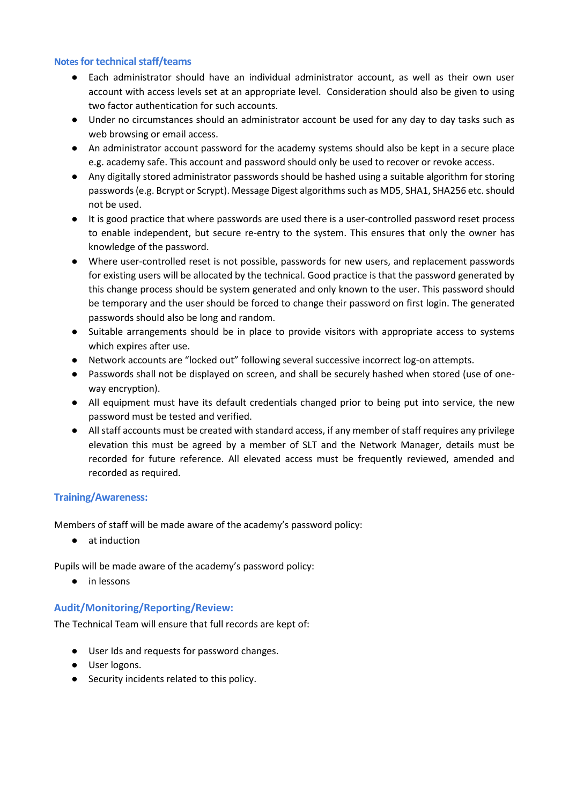#### **Notesfor technical staff/teams**

- Each administrator should have an individual administrator account, as well as their own user account with access levels set at an appropriate level. Consideration should also be given to using two factor authentication for such accounts.
- Under no circumstances should an administrator account be used for any day to day tasks such as web browsing or email access.
- An administrator account password for the academy systems should also be kept in a secure place e.g. academy safe. This account and password should only be used to recover or revoke access.
- Any digitally stored administrator passwords should be hashed using a suitable algorithm for storing passwords (e.g. Bcrypt or Scrypt). Message Digest algorithms such as MD5, SHA1, SHA256 etc. should not be used.
- It is good practice that where passwords are used there is a user-controlled password reset process to enable independent, but secure re-entry to the system. This ensures that only the owner has knowledge of the password.
- Where user-controlled reset is not possible, passwords for new users, and replacement passwords for existing users will be allocated by the technical. Good practice is that the password generated by this change process should be system generated and only known to the user. This password should be temporary and the user should be forced to change their password on first login. The generated passwords should also be long and random.
- Suitable arrangements should be in place to provide visitors with appropriate access to systems which expires after use.
- Network accounts are "locked out" following several successive incorrect log-on attempts.
- Passwords shall not be displayed on screen, and shall be securely hashed when stored (use of oneway encryption).
- All equipment must have its default credentials changed prior to being put into service, the new password must be tested and verified.
- All staff accounts must be created with standard access, if any member of staff requires any privilege elevation this must be agreed by a member of SLT and the Network Manager, details must be recorded for future reference. All elevated access must be frequently reviewed, amended and recorded as required.

# **Training/Awareness:**

Members of staff will be made aware of the academy's password policy:

● at induction

Pupils will be made aware of the academy's password policy:

● in lessons

# **Audit/Monitoring/Reporting/Review:**

The Technical Team will ensure that full records are kept of:

- User Ids and requests for password changes.
- User logons.
- Security incidents related to this policy.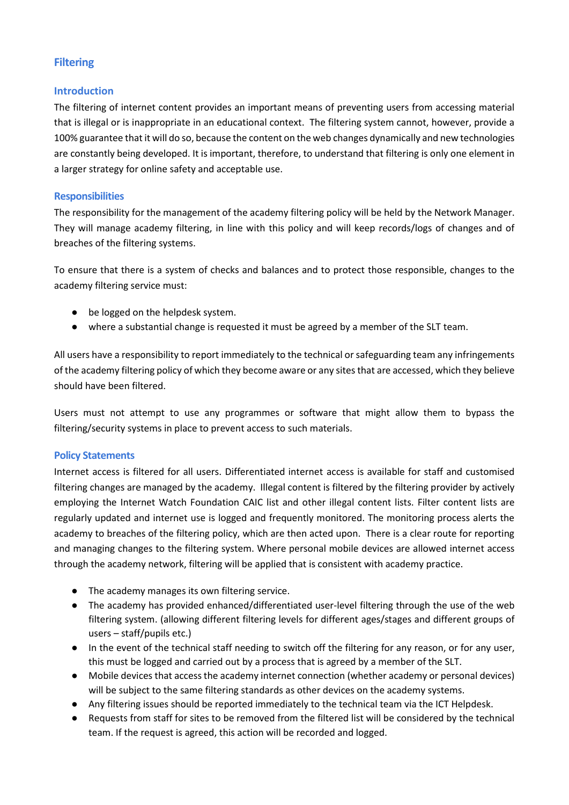# **Filtering**

# **Introduction**

The filtering of internet content provides an important means of preventing users from accessing material that is illegal or is inappropriate in an educational context. The filtering system cannot, however, provide a 100% guarantee that it will do so, because the content on the web changes dynamically and new technologies are constantly being developed. It is important, therefore, to understand that filtering is only one element in a larger strategy for online safety and acceptable use.

#### **Responsibilities**

The responsibility for the management of the academy filtering policy will be held by the Network Manager. They will manage academy filtering, in line with this policy and will keep records/logs of changes and of breaches of the filtering systems.

To ensure that there is a system of checks and balances and to protect those responsible, changes to the academy filtering service must:

- be logged on the helpdesk system.
- where a substantial change is requested it must be agreed by a member of the SLT team.

All users have a responsibility to report immediately to the technical or safeguarding team any infringements of the academy filtering policy of which they become aware or any sites that are accessed, which they believe should have been filtered.

Users must not attempt to use any programmes or software that might allow them to bypass the filtering/security systems in place to prevent access to such materials.

# **Policy Statements**

Internet access is filtered for all users. Differentiated internet access is available for staff and customised filtering changes are managed by the academy. Illegal content is filtered by the filtering provider by actively employing the Internet Watch Foundation CAIC list and other illegal content lists. Filter content lists are regularly updated and internet use is logged and frequently monitored. The monitoring process alerts the academy to breaches of the filtering policy, which are then acted upon. There is a clear route for reporting and managing changes to the filtering system. Where personal mobile devices are allowed internet access through the academy network, filtering will be applied that is consistent with academy practice.

- The academy manages its own filtering service.
- The academy has provided enhanced/differentiated user-level filtering through the use of the web filtering system. (allowing different filtering levels for different ages/stages and different groups of users – staff/pupils etc.)
- In the event of the technical staff needing to switch off the filtering for any reason, or for any user, this must be logged and carried out by a process that is agreed by a member of the SLT.
- Mobile devices that access the academy internet connection (whether academy or personal devices) will be subject to the same filtering standards as other devices on the academy systems.
- Any filtering issues should be reported immediately to the technical team via the ICT Helpdesk.
- Requests from staff for sites to be removed from the filtered list will be considered by the technical team. If the request is agreed, this action will be recorded and logged.